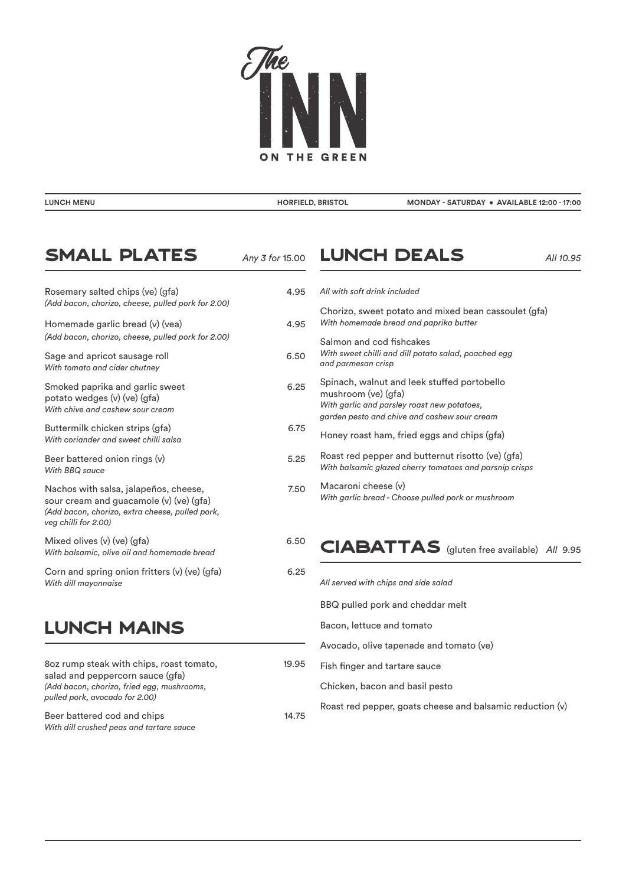

| <b>LUNCH MENU</b> | <b>HORFIELD, BRISTOL</b> | MONDAY - SATURDAY . AVAILABLE 12:00 - 17:00 |
|-------------------|--------------------------|---------------------------------------------|
|                   |                          |                                             |

#### $SMLL$  PLATES  $_{Any 3 for 15.00}$ Rosemary salted chips (ve) (gfa) 4.95 *(Add bacon, chorizo, cheese, pulled pork for 2.00)*  Homemade garlic bread (v) (vea) 4.95 *(Add bacon, chorizo, cheese, pulled pork for 2.00)* Sage and apricot sausage roll 6.50 *With tomato and cider chutney* Smoked paprika and garlic sweet 6.25 potato wedges (v) (ve) (gfa) *With chive and cashew sour cream*

Buttermilk chicken strips (gfa) 6.75 *With coriander and sweet chilli salsa* 

- Beer battered onion rings (v) 5.25 *With BBQ sauce*
- Nachos with salsa, jalapeños, cheese, metallismos with salsa, jalapeños, cheese, sour cream and guacamole (v) (ve) (gfa) *(Add bacon, chorizo, extra cheese, pulled pork, veg chilli for 2.00)*

| Mixed olives $(v)$ (ve) $(qfa)$               | 6.50 |
|-----------------------------------------------|------|
| With balsamic, olive oil and homemade bread   |      |
| Corn and spring onion fritters (v) (ve) (gfa) | 6.25 |

*With dill mayonnaise* 

# Lunch MAINS

| 802 rump steak with chips, roast tomato,<br>salad and peppercorn sauce (gfa)<br>(Add bacon, chorizo, fried egg, mushrooms,<br>pulled pork, avocado for 2.00) | 19.95 |
|--------------------------------------------------------------------------------------------------------------------------------------------------------------|-------|
| Beer battered cod and chips<br>With dill crushed peas and tartare sauce                                                                                      | 14.75 |

## **LUNCH DEALS** *All 10.95*

| $\overline{ }$ | All with soft drink included                                                                                                                                      |
|----------------|-------------------------------------------------------------------------------------------------------------------------------------------------------------------|
|                | Chorizo, sweet potato and mixed bean cassoulet (gfa)<br>With homemade bread and paprika butter                                                                    |
|                | Salmon and cod fishcakes<br>With sweet chilli and dill potato salad, poached egg<br>and parmesan crisp                                                            |
|                | Spinach, walnut and leek stuffed portobello<br>mushroom (ve) (gfa)<br>With garlic and parsley roast new potatoes,<br>garden pesto and chive and cashew sour cream |
| 5              | Honey roast ham, fried eggs and chips (gfa)                                                                                                                       |
|                | Roast red pepper and butternut risotto (ve) (gfa)<br>With balsamic glazed cherry tomatoes and parsnip crisps                                                      |
|                | Macaroni cheese (v)<br>With garlic bread - Choose pulled pork or mushroom                                                                                         |
|                |                                                                                                                                                                   |

## CIABATTAS (gluten free available) *All* 9.95

| All served with chips and side salad                      |
|-----------------------------------------------------------|
| BBQ pulled pork and cheddar melt                          |
| Bacon, lettuce and tomato                                 |
| Avocado, olive tapenade and tomato (ve)                   |
| Fish finger and tartare sauce                             |
| Chicken, bacon and basil pesto                            |
| Roast red pepper, goats cheese and balsamic reduction (v) |
|                                                           |